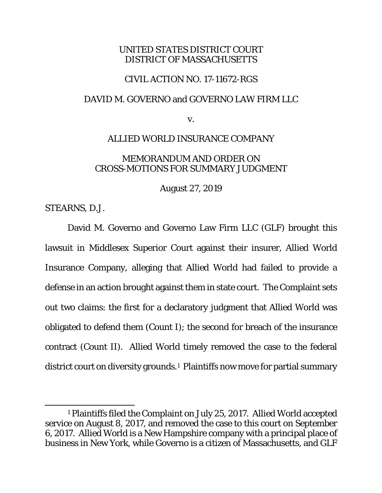## UNITED STATES DISTRICT COURT DISTRICT OF MASSACHUSETTS

# CIVIL ACTION NO. 17-11672-RGS

### DAVID M. GOVERNO and GOVERNO LAW FIRM LLC

v.

## ALLIED WORLD INSURANCE COMPANY

# MEMORANDUM AND ORDER ON CROSS-MOTIONS FOR SUMMARY JUDGMENT

August 27, 2019

STEARNS, D.J.

David M. Governo and Governo Law Firm LLC (GLF) brought this lawsuit in Middlesex Superior Court against their insurer, Allied World Insurance Company, alleging that Allied World had failed to provide a defense in an action brought against them in state court. The Complaint sets out two claims: the first for a declaratory judgment that Allied World was obligated to defend them (Count I); the second for breach of the insurance contract (Count II). Allied World timely removed the case to the federal district court on diversity grounds.[1](#page-0-0) Plaintiffs now move for partial summary

<span id="page-0-0"></span><sup>1</sup> Plaintiffs filed the Complaint on July 25, 2017. Allied World accepted service on August 8, 2017, and removed the case to this court on September 6, 2017. Allied World is a New Hampshire company with a principal place of business in New York, while Governo is a citizen of Massachusetts, and GLF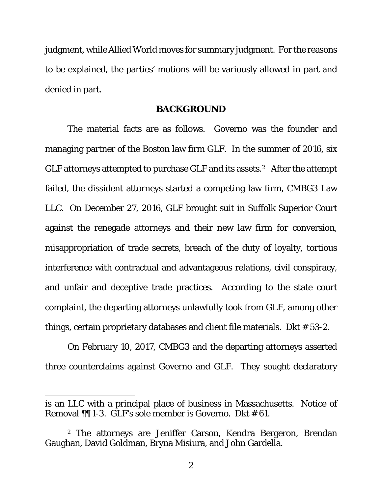judgment, while Allied World moves for summary judgment. For the reasons to be explained, the parties' motions will be variously allowed in part and denied in part.

#### **BACKGROUND**

The material facts are as follows. Governo was the founder and managing partner of the Boston law firm GLF. In the summer of 2016, six GLF attorneys attempted to purchase GLF and its assets.[2](#page-1-0) After the attempt failed, the dissident attorneys started a competing law firm, CMBG3 Law LLC. On December 27, 2016, GLF brought suit in Suffolk Superior Court against the renegade attorneys and their new law firm for conversion, misappropriation of trade secrets, breach of the duty of loyalty, tortious interference with contractual and advantageous relations, civil conspiracy, and unfair and deceptive trade practices. According to the state court complaint, the departing attorneys unlawfully took from GLF, among other things, certain proprietary databases and client file materials. Dkt # 53-2.

On February 10, 2017, CMBG3 and the departing attorneys asserted three counterclaims against Governo and GLF. They sought declaratory

is an LLC with a principal place of business in Massachusetts. Notice of Removal ¶¶ 1-3. GLF's sole member is Governo. Dkt # 61.

<span id="page-1-0"></span><sup>2</sup> The attorneys are Jeniffer Carson, Kendra Bergeron, Brendan Gaughan, David Goldman, Bryna Misiura, and John Gardella.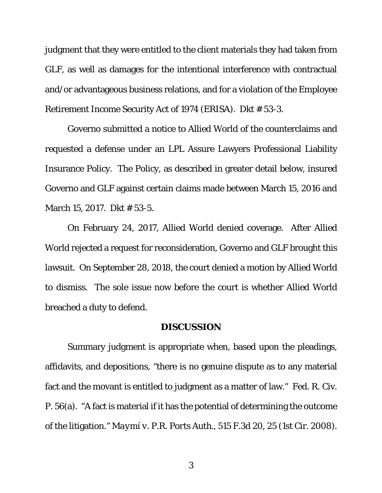judgment that they were entitled to the client materials they had taken from GLF, as well as damages for the intentional interference with contractual and/or advantageous business relations, and for a violation of the Employee Retirement Income Security Act of 1974 (ERISA). Dkt # 53-3.

Governo submitted a notice to Allied World of the counterclaims and requested a defense under an LPL Assure Lawyers Professional Liability Insurance Policy. The Policy, as described in greater detail below, insured Governo and GLF against certain claims made between March 15, 2016 and March 15, 2017. Dkt # 53-5.

On February 24, 2017, Allied World denied coverage. After Allied World rejected a request for reconsideration, Governo and GLF brought this lawsuit. On September 28, 2018, the court denied a motion by Allied World to dismiss. The sole issue now before the court is whether Allied World breached a duty to defend.

#### **DISCUSSION**

Summary judgment is appropriate when, based upon the pleadings, affidavits, and depositions, "there is no genuine dispute as to any material fact and the movant is entitled to judgment as a matter of law." Fed. R. Civ. P. 56(a). "A fact is material if it has the potential of determining the outcome of the litigation." *Maymí v. P.R. Ports Auth.*, 515 F.3d 20, 25 (1st Cir. 2008).

3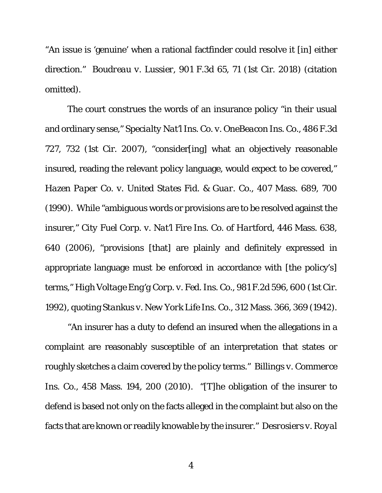"An issue is 'genuine' when a rational factfinder could resolve it [in] either direction." *Boudreau v. Lussier*, 901 F.3d 65, 71 (1st Cir. 2018) (citation omitted).

The court construes the words of an insurance policy "in their usual and ordinary sense," *Specialty Nat'l Ins. Co. v. OneBeacon Ins. Co.*, 486 F.3d 727, 732 (1st Cir. 2007), "consider[ing] what an objectively reasonable insured, reading the relevant policy language, would expect to be covered," *Hazen Paper Co. v. United States Fid. & Guar. Co.*, 407 Mass. 689, 700 (1990). While "ambiguous words or provisions are to be resolved against the insurer," *City Fuel Corp. v. Nat'l Fire Ins. Co. of Hartford*, 446 Mass. 638, 640 (2006), "provisions [that] are plainly and definitely expressed in appropriate language must be enforced in accordance with [the policy's] terms," *High Voltage Eng'g Corp. v. Fed. Ins. Co.*, 981 F.2d 596, 600 (1st Cir. 1992), quoting *Stankus v. New York Life Ins. Co.*, 312 Mass. 366, 369 (1942).

"An insurer has a duty to defend an insured when the allegations in a complaint are reasonably susceptible of an interpretation that states or roughly sketches a claim covered by the policy terms." *Billings v. Commerce Ins. Co.*, 458 Mass. 194, 200 (2010). "[T]he obligation of the insurer to defend is based not only on the facts alleged in the complaint but also on the facts that are known or readily knowable by the insurer." *Desrosiers v. Royal*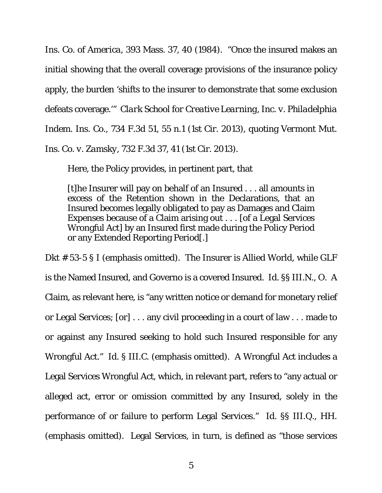*Ins. Co. of America*, 393 Mass. 37, 40 (1984). "Once the insured makes an initial showing that the overall coverage provisions of the insurance policy apply, the burden 'shifts to the insurer to demonstrate that some exclusion defeats coverage.'" *Clark School for Creative Learning, Inc. v. Philadelphia Indem. Ins. Co.,* 734 F.3d 51, 55 n.1 (1st Cir. 2013), quoting *Vermont Mut. Ins. Co. v. Zamsky*, 732 F.3d 37, 41 (1st Cir. 2013).

Here, the Policy provides, in pertinent part, that

[t]he Insurer will pay on behalf of an Insured . . . all amounts in excess of the Retention shown in the Declarations, that an Insured becomes legally obligated to pay as Damages and Claim Expenses because of a Claim arising out . . . [of a Legal Services Wrongful Act] by an Insured first made during the Policy Period or any Extended Reporting Period[.]

Dkt # 53-5 § I (emphasis omitted). The Insurer is Allied World, while GLF is the Named Insured, and Governo is a covered Insured. *Id.* §§ III.N., O. A Claim, as relevant here, is "any written notice or demand for monetary relief or Legal Services; [or] . . . any civil proceeding in a court of law . . . made to or against any Insured seeking to hold such Insured responsible for any Wrongful Act." *Id.* § III.C. (emphasis omitted). A Wrongful Act includes a Legal Services Wrongful Act, which, in relevant part, refers to "any actual or alleged act, error or omission committed by any Insured, solely in the performance of or failure to perform Legal Services." *Id.* §§ III.Q., HH. (emphasis omitted). Legal Services, in turn, is defined as "those services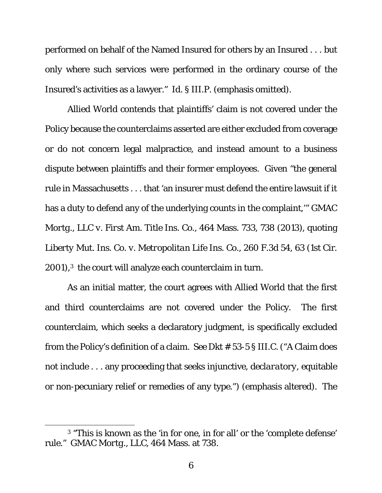performed on behalf of the Named Insured for others by an Insured . . . but only where such services were performed in the ordinary course of the Insured's activities as a lawyer." *Id.* § III.P. (emphasis omitted).

Allied World contends that plaintiffs' claim is not covered under the Policy because the counterclaims asserted are either excluded from coverage or do not concern legal malpractice, and instead amount to a business dispute between plaintiffs and their former employees. Given "the general rule in Massachusetts . . . that 'an insurer must defend the entire lawsuit if it has a duty to defend any of the underlying counts in the complaint,'" *GMAC Mortg., LLC v. First Am. Title Ins. Co.*, 464 Mass. 733, 738 (2013), quoting *Liberty Mut. Ins. Co. v. Metropolitan Life Ins. Co.*, 260 F.3d 54, 63 (1st Cir. 2001),[3](#page-5-0) the court will analyze each counterclaim in turn.

As an initial matter, the court agrees with Allied World that the first and third counterclaims are not covered under the Policy. The first counterclaim, which seeks a declaratory judgment, is specifically excluded from the Policy's definition of a claim. *See* Dkt # 53-5 § III.C. ("A Claim does not include . . . any proceeding that seeks injunctive, *declaratory*, equitable or non-pecuniary relief or remedies of any type.") (emphasis altered). The

<span id="page-5-0"></span><sup>3</sup> "This is known as the 'in for one, in for all' or the 'complete defense' rule." *GMAC Mortg., LLC*, 464 Mass. at 738.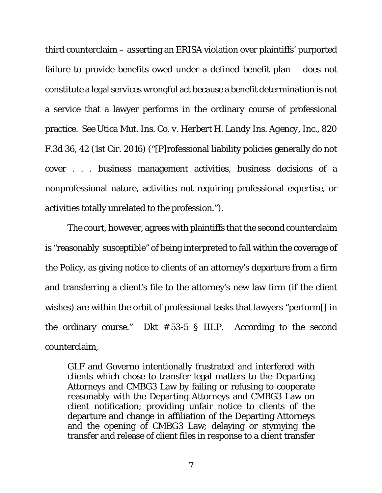third counterclaim – asserting an ERISA violation over plaintiffs' purported failure to provide benefits owed under a defined benefit plan – does not constitute a legal services wrongful act because a benefit determination is not a service that a lawyer performs in the ordinary course of professional practice. *See Utica Mut. Ins. Co. v. Herbert H. Landy Ins. Agency, Inc.*, 820 F.3d 36, 42 (1st Cir. 2016) ("[P]rofessional liability policies generally do not cover . . . business management activities, business decisions of a nonprofessional nature, activities not requiring professional expertise, or activities totally unrelated to the profession.").

The court, however, agrees with plaintiffs that the second counterclaim is "reasonably susceptible" of being interpreted to fall within the coverage of the Policy, as giving notice to clients of an attorney's departure from a firm and transferring a client's file to the attorney's new law firm (if the client wishes) are within the orbit of professional tasks that lawyers "perform[] in the ordinary course." Dkt # 53-5 § III.P. According to the second counterclaim,

GLF and Governo intentionally frustrated and interfered with clients which chose to transfer legal matters to the Departing Attorneys and CMBG3 Law by failing or refusing to cooperate reasonably with the Departing Attorneys and CMBG3 Law on client notification; providing unfair notice to clients of the departure and change in affiliation of the Departing Attorneys and the opening of CMBG3 Law; delaying or stymying the transfer and release of client files in response to a client transfer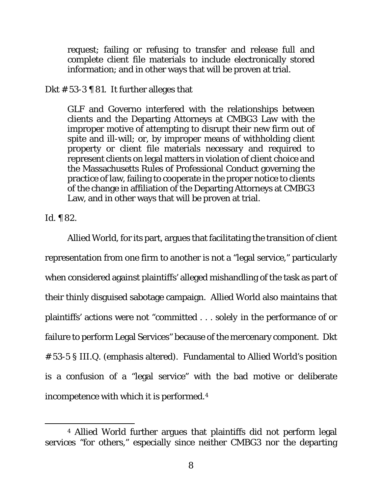request; failing or refusing to transfer and release full and complete client file materials to include electronically stored information; and in other ways that will be proven at trial.

# Dkt  $# 53-3$  | 81. It further alleges that

GLF and Governo interfered with the relationships between clients and the Departing Attorneys at CMBG3 Law with the improper motive of attempting to disrupt their new firm out of spite and ill-will; or, by improper means of withholding client property or client file materials necessary and required to represent clients on legal matters in violation of client choice and the Massachusetts Rules of Professional Conduct governing the practice of law, failing to cooperate in the proper notice to clients of the change in affiliation of the Departing Attorneys at CMBG3 Law, and in other ways that will be proven at trial.

*Id.* ¶ 82.

Allied World, for its part, argues that facilitating the transition of client representation from one firm to another is not a "legal service," particularly when considered against plaintiffs' alleged mishandling of the task as part of their thinly disguised sabotage campaign. Allied World also maintains that plaintiffs' actions were not "committed . . . *solely* in the performance of or failure to perform Legal Services" because of the mercenary component. Dkt # 53-5 § III.Q. (emphasis altered). Fundamental to Allied World's position is a confusion of a "legal service" with the bad motive or deliberate incompetence with which it is performed.[4](#page-7-0)

<span id="page-7-0"></span><sup>4</sup> Allied World further argues that plaintiffs did not perform legal services "for others," especially since neither CMBG3 nor the departing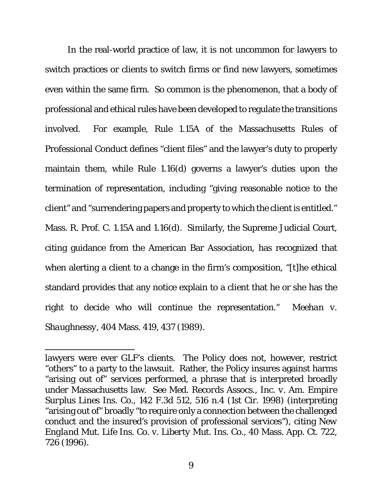In the real-world practice of law, it is not uncommon for lawyers to switch practices or clients to switch firms or find new lawyers, sometimes even within the same firm. So common is the phenomenon, that a body of professional and ethical rules have been developed to regulate the transitions involved. For example, Rule 1.15A of the Massachusetts Rules of Professional Conduct defines "client files" and the lawyer's duty to properly maintain them, while Rule 1.16(d) governs a lawyer's duties upon the termination of representation, including "giving reasonable notice to the client" and "surrendering papers and property to which the client is entitled." Mass. R. Prof. C. 1.15A and 1.16(d). Similarly, the Supreme Judicial Court, citing guidance from the American Bar Association, has recognized that when alerting a client to a change in the firm's composition, "[t]he ethical standard provides that any notice explain to a client that he or she has the right to decide who will continue the representation." *Meehan v. Shaughnessy*, 404 Mass. 419, 437 (1989).

lawyers were ever GLF's clients. The Policy does not, however, restrict "others" to a party to the lawsuit. Rather, the Policy insures against harms "arising out of" services performed, a phrase that is interpreted broadly under Massachusetts law. *See Med. Records Assocs., Inc. v. Am. Empire Surplus Lines Ins. Co.*, 142 F.3d 512, 516 n.4 (1st Cir. 1998) (interpreting "arising out of" broadly "to require only a connection between the challenged conduct and the insured's provision of professional services"), citing *New England Mut. Life Ins. Co. v. Liberty Mut. Ins. Co.*, 40 Mass. App. Ct. 722, 726 (1996).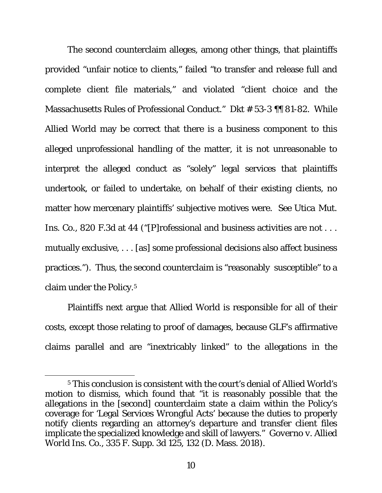The second counterclaim alleges, among other things, that plaintiffs provided "unfair notice to clients," failed "to transfer and release full and complete client file materials," and violated "client choice and the Massachusetts Rules of Professional Conduct." Dkt # 53-3 ¶¶ 81-82. While Allied World may be correct that there is a business component to this alleged unprofessional handling of the matter, it is not unreasonable to interpret the alleged conduct as "solely" legal services that plaintiffs undertook, or failed to undertake, on behalf of their *existing* clients, no matter how mercenary plaintiffs' subjective motives were. *See Utica Mut. Ins. Co.*, 820 F.3d at 44 ("[P]rofessional and business activities are not . . . mutually exclusive, . . . [as] some professional decisions also affect business practices."). Thus, the second counterclaim is "reasonably susceptible" to a claim under the Policy.[5](#page-9-0)

Plaintiffs next argue that Allied World is responsible for all of their costs, except those relating to proof of damages, because GLF's affirmative claims parallel and are "inextricably linked" to the allegations in the

<span id="page-9-0"></span><sup>5</sup> This conclusion is consistent with the court's denial of Allied World's motion to dismiss, which found that "it is reasonably possible that the allegations in the [second] counterclaim state a claim within the Policy's coverage for 'Legal Services Wrongful Acts' because the duties to properly notify clients regarding an attorney's departure and transfer client files implicate the specialized knowledge and skill of lawyers." *Governo v. Allied World Ins. Co.*, 335 F. Supp. 3d 125, 132 (D. Mass. 2018).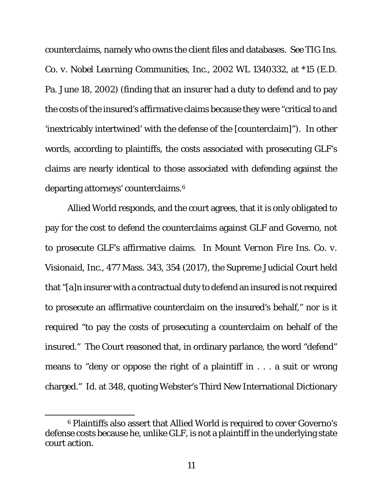counterclaims, namely who owns the client files and databases. *See TIG Ins. Co. v. Nobel Learning Communities, Inc.*, 2002 WL 1340332, at \*15 (E.D. Pa. June 18, 2002) (finding that an insurer had a duty to defend and to pay the costs of the insured's affirmative claims because they were "critical to and 'inextricably intertwined' with the defense of the [counterclaim]"). In other words, according to plaintiffs, the costs associated with prosecuting GLF's claims are nearly identical to those associated with defending against the departing attorneys' counterclaims.[6](#page-10-0) 

Allied World responds, and the court agrees, that it is only obligated to pay for the cost to defend the counterclaims against GLF and Governo, not to prosecute GLF's affirmative claims. In *Mount Vernon Fire Ins. Co. v. Visionaid, Inc.*, 477 Mass. 343, 354 (2017), the Supreme Judicial Court held that "[a]n insurer with a contractual duty to defend an insured is not required to prosecute an affirmative counterclaim on the insured's behalf," nor is it required "to pay the costs of prosecuting a counterclaim on behalf of the insured." The Court reasoned that, in ordinary parlance, the word "defend" means to "deny or oppose the right of a plaintiff in . . . a suit or wrong charged." *Id.* at 348, quoting Webster's Third New International Dictionary

<span id="page-10-0"></span><sup>6</sup> Plaintiffs also assert that Allied World is required to cover Governo's defense costs because he, unlike GLF, is not a plaintiff in the underlying state court action.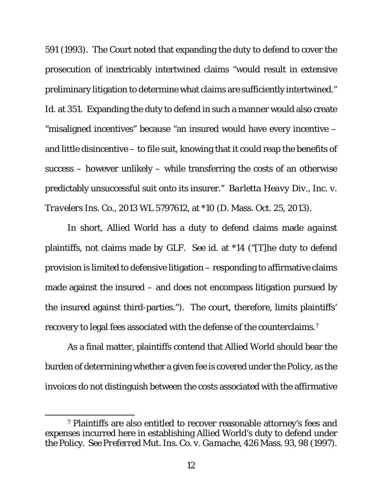591 (1993). The Court noted that expanding the duty to defend to cover the prosecution of inextricably intertwined claims "would result in extensive preliminary litigation to determine what claims are sufficiently intertwined." *Id.* at 351. Expanding the duty to defend in such a manner would also create "misaligned incentives" because "an insured would have every incentive – and little disincentive – to file suit, knowing that it could reap the benefits of success – however unlikely – while transferring the costs of an otherwise predictably unsuccessful suit onto its insurer." *Barletta Heavy Div., Inc. v. Travelers Ins. Co.*, 2013 WL 5797612, at \*10 (D. Mass. Oct. 25, 2013).

In short, Allied World has a duty to defend claims made *against* plaintiffs, not claims made *by* GLF. *See id.* at \*14 ("[T]he duty to defend provision is limited to defensive litigation – responding to affirmative claims made against the insured – and does not encompass litigation pursued by the insured against third-parties."). The court, therefore, limits plaintiffs' recovery to legal fees associated with the defense of the counterclaims.[7](#page-11-0)

As a final matter, plaintiffs contend that Allied World should bear the burden of determining whether a given fee is covered under the Policy, as the invoices do not distinguish between the costs associated with the affirmative

<span id="page-11-0"></span><sup>7</sup> Plaintiffs are also entitled to recover reasonable attorney's fees and expenses incurred here in establishing Allied World's duty to defend under the Policy. *See Preferred Mut. Ins. Co. v. Gamache*, 426 Mass. 93, 98 (1997).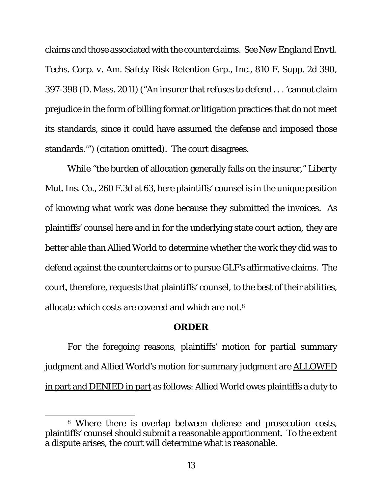claims and those associated with the counterclaims. *See New England Envtl. Techs. Corp. v. Am. Safety Risk Retention Grp., Inc.*, 810 F. Supp. 2d 390, 397-398 (D. Mass. 2011) ("An insurer that refuses to defend . . . 'cannot claim prejudice in the form of billing format or litigation practices that do not meet its standards, since it could have assumed the defense and imposed those standards.'") (citation omitted). The court disagrees.

While "the burden of allocation generally falls on the insurer," *Liberty Mut. Ins. Co.*, 260 F.3d at 63, here plaintiffs' counsel is in the unique position of knowing what work was done because they submitted the invoices. As plaintiffs' counsel here *and* in for the underlying state court action, they are better able than Allied World to determine whether the work they did was to defend against the counterclaims or to pursue GLF's affirmative claims. The court, therefore, requests that plaintiffs' counsel, to the best of their abilities, allocate which costs are covered and which are not.[8](#page-12-0)

#### **ORDER**

For the foregoing reasons, plaintiffs' motion for partial summary judgment and Allied World's motion for summary judgment are **ALLOWED** in part and DENIED in part as follows: Allied World owes plaintiffs a duty to

<span id="page-12-0"></span><sup>8</sup> Where there is overlap between defense and prosecution costs, plaintiffs' counsel should submit a reasonable apportionment. To the extent a dispute arises, the court will determine what is reasonable.